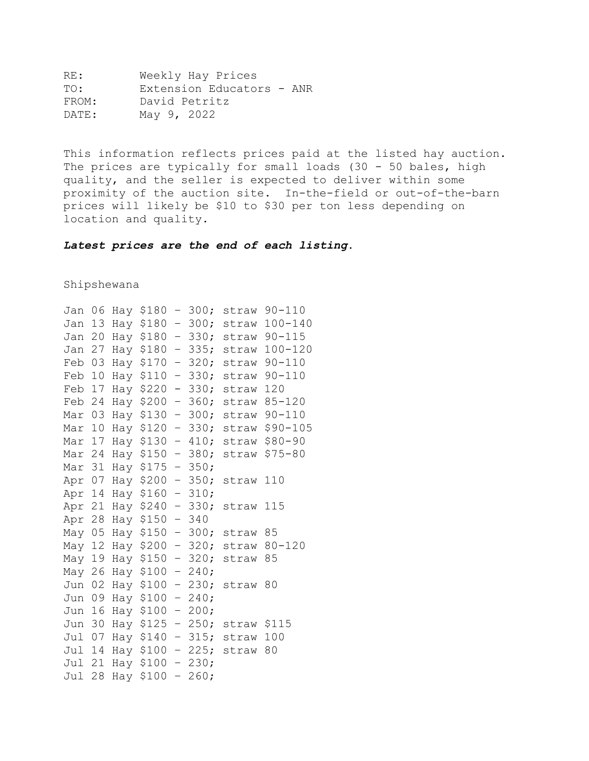| RE :  | Weekly Hay Prices         |
|-------|---------------------------|
| TO:   | Extension Educators - ANR |
| FROM: | David Petritz             |
| DATE: | May 9, 2022               |

This information reflects prices paid at the listed hay auction. The prices are typically for small loads (30 - 50 bales, high quality, and the seller is expected to deliver within some proximity of the auction site. In-the-field or out-of-the-barn prices will likely be \$10 to \$30 per ton less depending on location and quality.

*Latest prices are the end of each listing***.**

Shipshewana

| Jan    | 06 |     | Hay \$180 | $\qquad \qquad -$        | 300; | straw       | $90 - 110$    |
|--------|----|-----|-----------|--------------------------|------|-------------|---------------|
| Jan    | 13 |     | Hay \$180 | $\overline{\phantom{0}}$ | 300; | straw       | $100 - 140$   |
| Jan    | 20 |     | Hay \$180 | $\qquad \qquad -$        | 330; | straw       | $90 - 115$    |
| Jan    | 27 |     | Hay \$180 | $\overline{\phantom{0}}$ | 335; | straw       | $100 - 120$   |
| Feb    | 03 |     | Hay \$170 | $\qquad \qquad -$        | 320; | straw       | $90 - 110$    |
| Feb    | 10 |     | Hay \$110 | $\overline{\phantom{0}}$ | 330; |             | straw 90-110  |
| Feb    | 17 |     | Hay \$220 | $\overline{\phantom{0}}$ | 330; | straw       | 120           |
| Feb 24 |    |     | Hay \$200 | $\qquad \qquad -$        | 360; | straw       | $85 - 120$    |
| Mar    | 03 |     | Hay \$130 | $\overline{\phantom{0}}$ | 300; | straw       | $90 - 110$    |
| Mar    | 10 |     | Hay \$120 | $\overline{\phantom{0}}$ | 330; | straw       | $$90 - 105$   |
| Mar 17 |    |     | Hay \$130 | $\equiv$                 | 410; |             | straw \$80-90 |
| Mar 24 |    |     | Hay \$150 | $\overline{\phantom{0}}$ | 380; | straw       | $$75 - 80$    |
| Mar 31 |    |     | Hay \$175 | $\overline{\phantom{0}}$ | 350; |             |               |
| Apr 07 |    |     | Hay \$200 | $\qquad \qquad -$        | 350; | straw       | 110           |
| Apr 14 |    |     | Hay \$160 | $\overline{\phantom{0}}$ | 310; |             |               |
| Apr 21 |    |     | Hay \$240 | $\overline{\phantom{0}}$ | 330; | straw       | 115           |
| Apr 28 |    |     | Hay \$150 | $\qquad \qquad -$        | 340  |             |               |
| May 05 |    |     | Hay \$150 | $\qquad \qquad -$        | 300; | straw       | 85            |
| May 12 |    |     | Hay \$200 | $\qquad \qquad -$        | 320; | straw       | $80 - 120$    |
| May    | 19 |     | Hay \$150 | $\overline{\phantom{0}}$ | 320; | straw       | 85            |
| May 26 |    |     | Hay \$100 | $\overline{\phantom{0}}$ | 240; |             |               |
| Jun    | 02 |     | Hay \$100 | $\overline{\phantom{0}}$ | 230; | straw       | 80            |
| Jun    | 09 |     | Hay \$100 | $\qquad \qquad -$        | 240: |             |               |
| Jun    | 16 |     | Hay \$100 | $\equiv$                 | 200; |             |               |
| Jun    | 30 |     | Hay \$125 | $\qquad \qquad -$        | 250; | straw \$115 |               |
| Jul    | 07 |     | Hay \$140 | $\overline{\phantom{0}}$ | 315; | straw       | 100           |
| Jul    | 14 |     | Hay \$100 | $\overline{\phantom{0}}$ | 225; | straw       | 80            |
| Jul    | 21 |     | Hay \$100 | $\qquad \qquad -$        | 230; |             |               |
| Jul    | 28 | Hay | \$100     | $\qquad \qquad -$        | 260; |             |               |
|        |    |     |           |                          |      |             |               |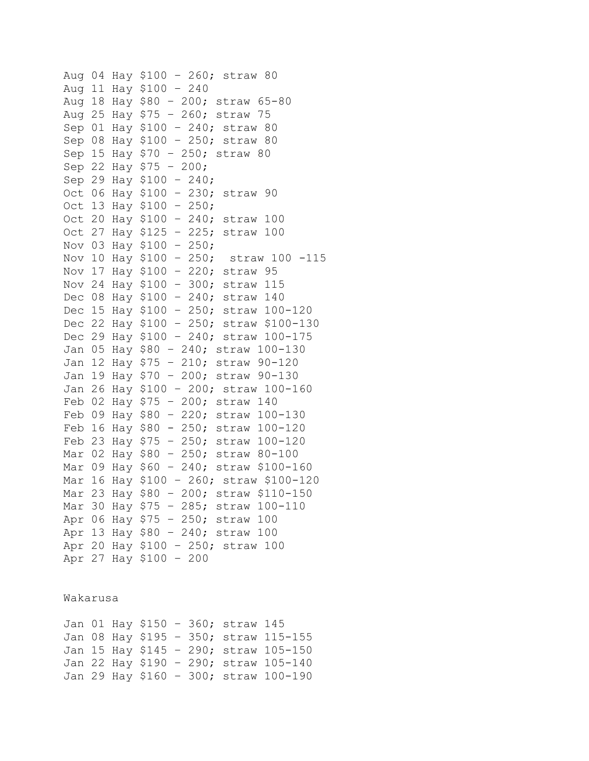```
Aug 04 Hay $100 – 260; straw 80 
Aug 11 Hay $100 – 240 
Aug 18 Hay $80 – 200; straw 65-80
Aug 25 Hay $75 – 260; straw 75
Sep 01 Hay $100 – 240; straw 80
Sep 08 Hay $100 – 250; straw 80
Sep 15 Hay $70 – 250; straw 80
Sep 22 Hay $75 – 200; 
Sep 29 Hay $100 – 240; 
Oct 06 Hay $100 – 230; straw 90
Oct 13 Hay $100 – 250; 
Oct 20 Hay $100 – 240; straw 100
Oct 27 Hay $125 – 225; straw 100 
Nov 03 Hay $100 - 250;<br>Nov 10 Hay $100 - 250; straw 100 -115
Nov 10 Hay $100 - 250;
Nov 17 Hay $100 – 220; straw 95 
Nov 24 Hay $100 – 300; straw 115
Dec 08 Hay $100 – 240; straw 140 
Dec 15 Hay $100 – 250; straw 100-120 
Dec 22 Hay $100 – 250; straw $100-130 
Dec 29 Hay $100 – 240; straw 100-175 
Jan 05 Hay $80 – 240; straw 100-130
Jan 12 Hay $75 – 210; straw 90-120
Jan 19 Hay $70 – 200; straw 90-130
Jan 26 Hay $100 – 200; straw 100-160
Feb 02 Hay $75 – 200; straw 140
Feb 09 Hay $80 – 220; straw 100-130
Feb 16 Hay $80 - 250; straw 100-120
Feb 23 Hay $75 – 250; straw 100-120
Mar 02 Hay $80 – 250; straw 80-100
Mar 09 Hay $60 – 240; straw $100-160
Mar 16 Hay $100 – 260; straw $100-120
Mar 23 Hay $80 – 200; straw $110-150
Mar 30 Hay $75 – 285; straw 100-110
Apr 06 Hay $75 – 250; straw 100 
Apr 13 Hay $80 – 240; straw 100
Apr 20 Hay $100 – 250; straw 100
Apr 27 Hay $100 – 200
```
Wakarusa

Jan 01 Hay \$150 – 360; straw 145 Jan 08 Hay \$195 – 350; straw 115-155 Jan 15 Hay \$145 – 290; straw 105-150 Jan 22 Hay \$190 – 290; straw 105-140 Jan 29 Hay \$160 – 300; straw 100-190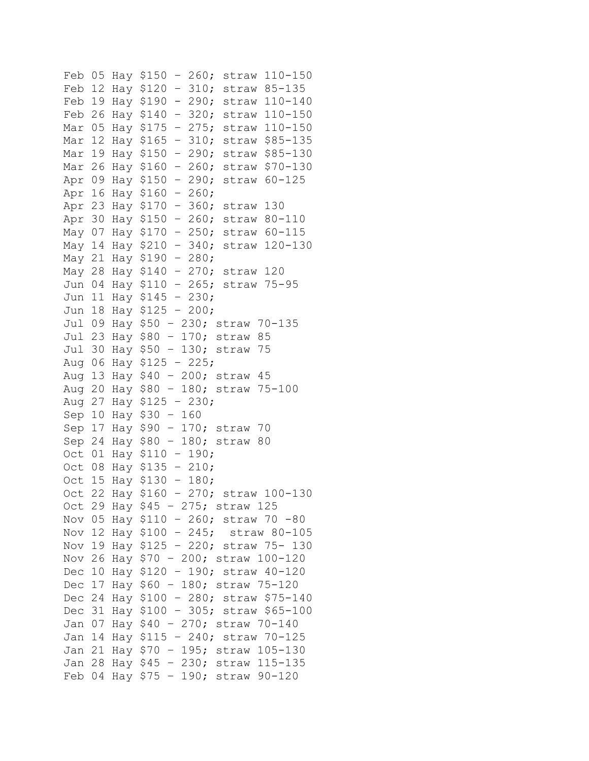```
Feb 05 Hay $150 – 260; straw 110-150
Feb 12 Hay $120 – 310; straw 85-135
Feb 19 Hay $190 - 290; straw 110-140
Feb 26 Hay $140 – 320; straw 110-150
Mar 05 Hay $175 – 275; straw 110-150
Mar 12 Hay $165 – 310; straw $85-135
Mar 19 Hay $150 – 290; straw $85-130
Mar 26 Hay $160 – 260; straw $70-130
Apr 09 Hay $150 – 290; straw 60-125 
Apr 16 Hay $160 – 260;
Apr 23 Hay $170 – 360; straw 130
Apr 30 Hay $150 – 260; straw 80-110
May 07 Hay $170 – 250; straw 60-115 
May 14 Hay $210 – 340; straw 120-130 
May 21 Hay $190 – 280; 
May 28 Hay $140 – 270; straw 120
Jun 04 Hay $110 – 265; straw 75-95 
Jun 11 Hay $145 – 230; 
Jun 18 Hay $125 – 200; 
Jul 09 Hay $50 – 230; straw 70-135 
Jul 23 Hay $80 – 170; straw 85
Jul 30 Hay $50 – 130; straw 75
Aug 06 Hay $125 - 225;
Aug 13 Hay $40 – 200; straw 45 
Aug 20 Hay $80 – 180; straw 75-100
Aug 27 Hay $125 – 230;
Sep 10 Hay $30 – 160
Sep 17 Hay $90 – 170; straw 70
Sep 24 Hay $80 – 180; straw 80
Oct 01 Hay $110 – 190; 
Oct 08 Hay $135 – 210; 
Oct 15 Hay $130 – 180; 
Oct 22 Hay $160 – 270; straw 100-130
Oct 29 Hay $45 – 275; straw 125 
Nov 05 Hay $110 – 260; straw 70 -80 
Nov 12 Hay $100 – 245; straw 80-105 
Nov 19 Hay $125 – 220; straw 75- 130
Nov 26 Hay $70 – 200; straw 100-120
Dec 10 Hay $120 – 190; straw 40-120 
Dec 17 Hay $60 – 180; straw 75-120 
Dec 24 Hay $100 – 280; straw $75-140 
Dec 31 Hay $100 – 305; straw $65-100 
Jan 07 Hay $40 – 270; straw 70-140
Jan 14 Hay $115 – 240; straw 70-125
Jan 21 Hay $70 – 195; straw 105-130
Jan 28 Hay $45 – 230; straw 115-135
Feb 04 Hay $75 – 190; straw 90-120
```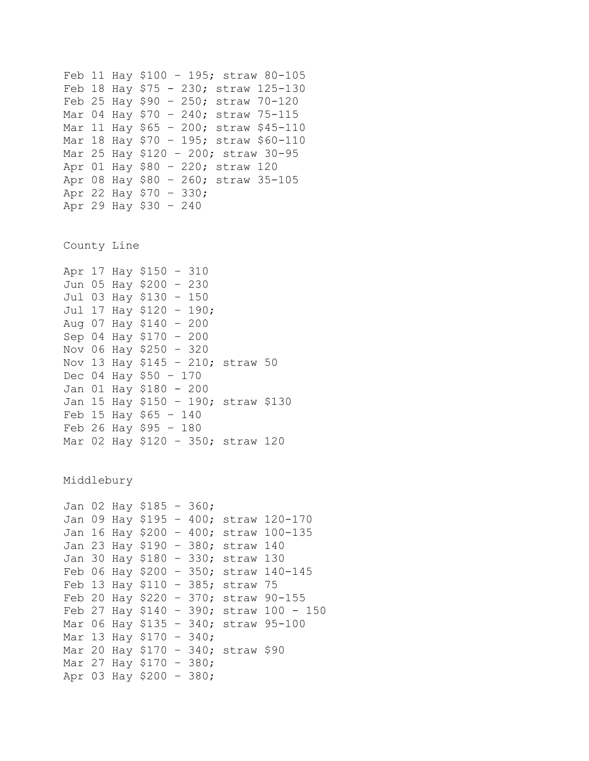```
Feb 11 Hay $100 – 195; straw 80-105
Feb 18 Hay $75 - 230; straw 125-130
Feb 25 Hay $90 – 250; straw 70-120
Mar 04 Hay $70 – 240; straw 75-115
Mar 11 Hay $65 – 200; straw $45-110
Mar 18 Hay $70 – 195; straw $60-110
Mar 25 Hay $120 – 200; straw 30-95
Apr 01 Hay $80 – 220; straw 120 
Apr 08 Hay $80 – 260; straw 35-105
Apr 22 Hay $70 – 330;
Apr 29 Hay $30 – 240
County Line
Apr 17 Hay $150 – 310
Jun 05 Hay $200 – 230 
Jul 03 Hay $130 – 150 
Jul 17 Hay $120 – 190; 
Aug 07 Hay $140 – 200
Sep 04 Hay $170 – 200
Nov 06 Hay $250 – 320
Nov 13 Hay $145 – 210; straw 50
Dec 04 Hay $50 – 170
Jan 01 Hay $180 - 200
Jan 15 Hay $150 – 190; straw $130
Feb 15 Hay $65 – 140
Feb 26 Hay $95 – 180
Mar 02 Hay $120 – 350; straw 120
Middlebury
Jan 02 Hay $185 – 360; 
Jan 09 Hay $195 – 400; straw 120-170
Jan 16 Hay $200 – 400; straw 100-135
Jan 23 Hay $190 – 380; straw 140
Jan 30 Hay $180 – 330; straw 130
Feb 06 Hay $200 – 350; straw 140-145
Feb 13 Hay $110 – 385; straw 75
Feb 20 Hay $220 – 370; straw 90-155
Feb 27 Hay $140 - 390; straw 100 - 150Mar 06 Hay $135 – 340; straw 95-100
Mar 13 Hay $170 – 340;
Mar 20 Hay $170 – 340; straw $90
Mar 27 Hay $170 – 380; 
Apr 03 Hay $200 – 380;
```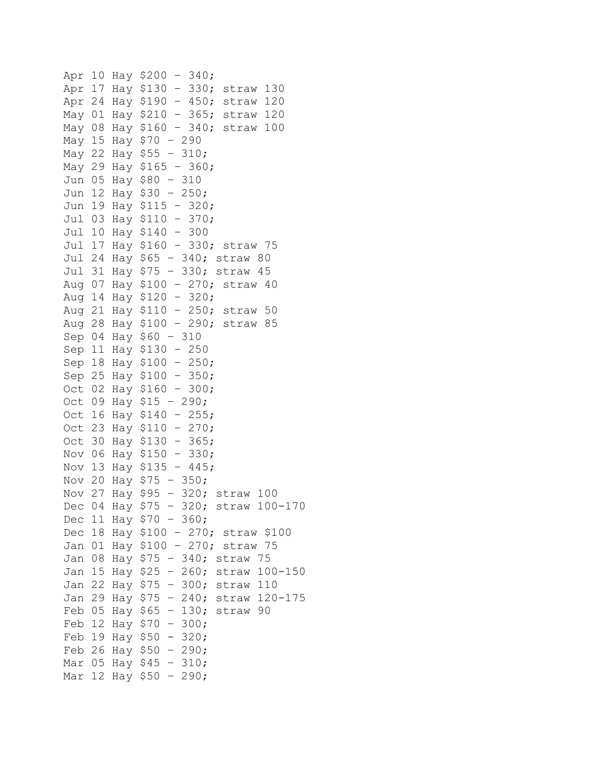```
Apr 10 Hay $200 – 340; 
Apr 17 Hay $130 – 330; straw 130
Apr 24 Hay $190 – 450; straw 120
May 01 Hay $210 – 365; straw 120
May 08 Hay $160 – 340; straw 100 
May 15 Hay $70 – 290 
May 22 Hay $55 – 310; 
May 29 Hay $165 – 360; 
Jun 05 Hay $80 – 310 
Jun 12 Hay $30 – 250; 
Jun 19 Hay $115 – 320; 
Jul 03 Hay $110 – 370; 
Jul 10 Hay $140 – 300 
Jul 17 Hay $160 – 330; straw 75 
Jul 24 Hay $65 – 340; straw 80
Jul 31 Hay $75 – 330; straw 45
Aug 07 Hay $100 – 270; straw 40
Aug 14 Hay $120 – 320; 
Aug 21 Hay $110 – 250; straw 50 
Aug 28 Hay $100 – 290; straw 85
Sep 04 Hay $60 – 310
Sep 11 Hay $130 – 250
Sep 18 Hay $100 – 250; 
Sep 25 Hay $100 – 350; 
Oct 02 Hay $160 – 300; 
Oct 09 Hay $15 – 290;
Oct 16 Hay $140 – 255; 
Oct 23 Hay $110 – 270; 
Oct 30 Hay $130 – 365; 
Nov 06 Hay $150 – 330; 
Nov 13 Hay $135 – 445; 
Nov 20 Hay $75 – 350; 
Nov 27 Hay $95 – 320; straw 100 
Dec 04 Hay $75 – 320; straw 100-170 
Dec 11 Hay $70 – 360; 
Dec 18 Hay $100 – 270; straw $100 
Jan 01 Hay $100 – 270; straw 75 
Jan 08 Hay $75 – 340; straw 75
Jan 15 Hay $25 – 260; straw 100-150
Jan 22 Hay $75 – 300; straw 110
Jan 29 Hay $75 – 240; straw 120-175
Feb 05 Hay $65 – 130; straw 90
Feb 12 Hay $70 – 300; 
Feb 19 Hay $50 - 320;
Feb 26 Hay $50 - 290;Mar 05 Hay $45 – 310; 
Mar 12 Hay $50 – 290;
```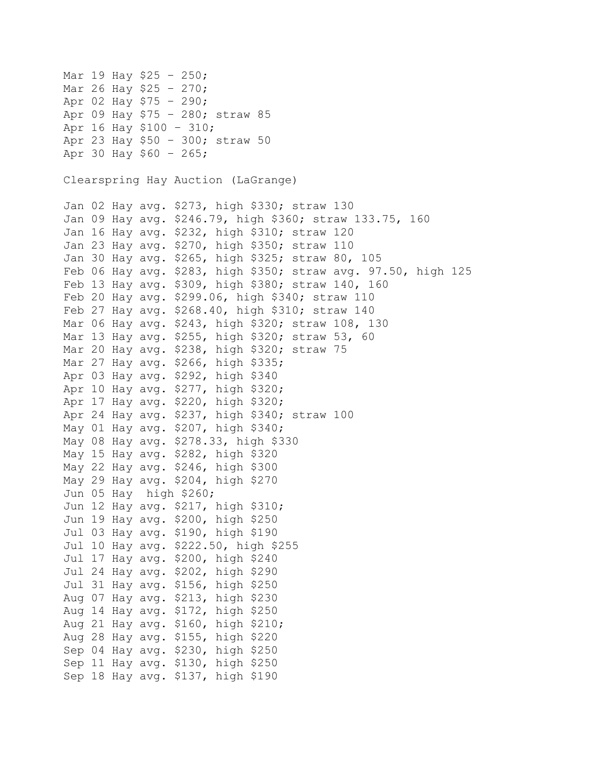Mar 19 Hay \$25 – 250; Mar 26 Hay \$25 – 270; Apr 02 Hay \$75 – 290; Apr 09 Hay \$75 – 280; straw 85 Apr 16 Hay \$100 – 310; Apr 23 Hay \$50 – 300; straw 50 Apr 30 Hay \$60 – 265; Clearspring Hay Auction (LaGrange) Jan 02 Hay avg. \$273, high \$330; straw 130 Jan 09 Hay avg. \$246.79, high \$360; straw 133.75, 160 Jan 16 Hay avg. \$232, high \$310; straw 120 Jan 23 Hay avg. \$270, high \$350; straw 110 Jan 30 Hay avg. \$265, high \$325; straw 80, 105 Feb 06 Hay avg. \$283, high \$350; straw avg. 97.50, high 125 Feb 13 Hay avg. \$309, high \$380; straw 140, 160 Feb 20 Hay avg. \$299.06, high \$340; straw 110 Feb 27 Hay avg. \$268.40, high \$310; straw 140 Mar 06 Hay avg. \$243, high \$320; straw 108, 130 Mar 13 Hay avg. \$255, high \$320; straw 53, 60 Mar 20 Hay avg. \$238, high \$320; straw 75 Mar 27 Hay avg. \$266, high \$335; Apr 03 Hay avg. \$292, high \$340 Apr 10 Hay avg. \$277, high \$320; Apr 17 Hay avg. \$220, high \$320; Apr 24 Hay avg. \$237, high \$340; straw 100 May 01 Hay avg. \$207, high \$340; May 08 Hay avg. \$278.33, high \$330 May 15 Hay avg. \$282, high \$320 May 22 Hay avg. \$246, high \$300 May 29 Hay avg. \$204, high \$270 Jun 05 Hay high \$260; Jun 12 Hay avg. \$217, high \$310; Jun 19 Hay avg. \$200, high \$250 Jul 03 Hay avg. \$190, high \$190 Jul 10 Hay avg. \$222.50, high \$255 Jul 17 Hay avg. \$200, high \$240 Jul 24 Hay avg. \$202, high \$290 Jul 31 Hay avg. \$156, high \$250 Aug 07 Hay avg. \$213, high \$230 Aug 14 Hay avg. \$172, high \$250 Aug 21 Hay avg. \$160, high \$210; Aug 28 Hay avg. \$155, high \$220 Sep 04 Hay avg. \$230, high \$250 Sep 11 Hay avg. \$130, high \$250 Sep 18 Hay avg. \$137, high \$190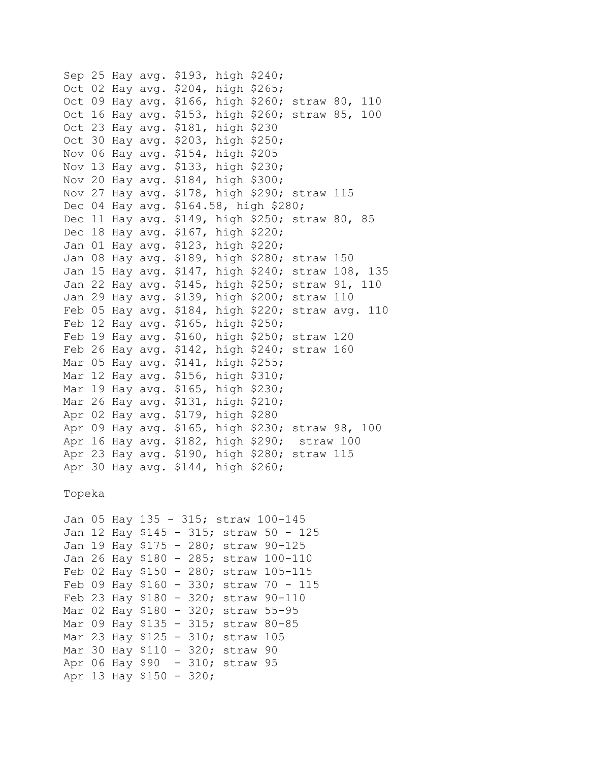Sep 25 Hay avg. \$193, high \$240; Oct 02 Hay avg. \$204, high \$265; Oct 09 Hay avg. \$166, high \$260; straw 80, 110 Oct 16 Hay avg. \$153, high \$260; straw 85, 100 Oct 23 Hay avg. \$181, high \$230 Oct 30 Hay avg. \$203, high \$250; Nov 06 Hay avg. \$154, high \$205 Nov 13 Hay avg. \$133, high \$230; Nov 20 Hay avg. \$184, high \$300; Nov 27 Hay avg. \$178, high \$290; straw 115 Dec 04 Hay avg. \$164.58, high \$280; Dec 11 Hay avg. \$149, high \$250; straw 80, 85 Dec 18 Hay avg. \$167, high \$220; Jan 01 Hay avg. \$123, high \$220; Jan 08 Hay avg. \$189, high \$280; straw 150 Jan 15 Hay avg. \$147, high \$240; straw 108, 135 Jan 22 Hay avg. \$145, high \$250; straw 91, 110 Jan 29 Hay avg. \$139, high \$200; straw 110 Feb 05 Hay avg. \$184, high \$220; straw avg. 110 Feb 12 Hay avg. \$165, high \$250; Feb 19 Hay avg. \$160, high \$250; straw 120 Feb 26 Hay avg. \$142, high \$240; straw 160 Mar 05 Hay avg. \$141, high \$255; Mar 12 Hay avg. \$156, high \$310; Mar 19 Hay avg. \$165, high \$230; Mar 26 Hay avg. \$131, high \$210; Apr 02 Hay avg. \$179, high \$280 Apr 09 Hay avg. \$165, high \$230; straw 98, 100 Apr 16 Hay avg. \$182, high \$290; straw 100 Apr 23 Hay avg. \$190, high \$280; straw 115 Apr 30 Hay avg. \$144, high \$260;

Topeka

```
Jan 05 Hay 135 - 315; straw 100-145
Jan 12 Hay $145 - 315; straw 50 - 125 
Jan 19 Hay $175 - 280; straw 90-125 
Jan 26 Hay $180 - 285; straw 100-110 
Feb 02 Hay $150 - 280; straw 105-115 
Feb 09 Hay $160 - 330; straw 70 - 115
Feb 23 Hay $180 - 320; straw 90-110
Mar 02 Hay $180 - 320; straw 55-95
Mar 09 Hay $135 - 315; straw 80-85
Mar 23 Hay $125 - 310; straw 105
Mar 30 Hay $110 - 320; straw 90
Apr 06 Hay $90 - 310; straw 95
Apr 13 Hay $150 - 320;
```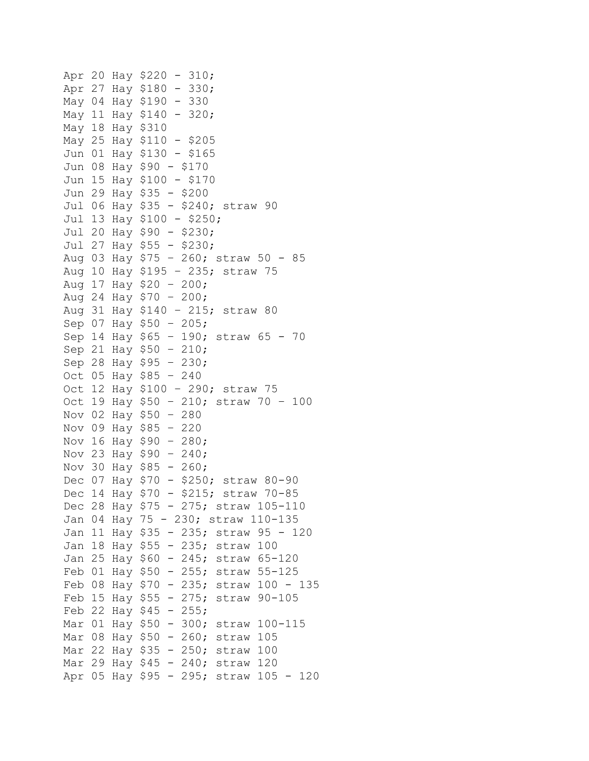```
Apr 20 Hay $220 - 310;
Apr 27 Hay $180 - 330; 
May 04 Hay $190 - 330
May 11 Hay $140 - 320; 
May 18 Hay $310 
May 25 Hay $110 - $205
Jun 01 Hay $130 - $165 
Jun 08 Hay $90 - $170
Jun 15 Hay $100 - $170
Jun 29 Hay $35 - $200
Jul 06 Hay $35 - $240; straw 90
Jul 13 Hay $100 - $250; 
Jul 20 Hay $90 - $230; 
Jul 27 Hay $55 - $230; 
Aug 03 Hay $75 – 260; straw 50 - 85 
Aug 10 Hay $195 – 235; straw 75
Aug 17 Hay $20 – 200; 
Aug 24 Hay $70 - 200;Aug 31 Hay $140 – 215; straw 80
Sep 07 Hay $50 – 205; 
Sep 14 Hay $65 – 190; straw 65 - 70
Sep 21 Hay $50 – 210; 
Sep 28 Hay $95 – 230; 
Oct 05 Hay $85 – 240
Oct 12 Hay $100 – 290; straw 75
Oct 19 Hay $50 – 210; straw 70 – 100 
Nov 02 Hay $50 – 280 
Nov 09 Hay $85 – 220 
Nov 16 Hay $90 – 280; 
Nov 23 Hay $90 – 240; 
Nov 30 Hay $85 - 260;Dec 07 Hay $70 - $250; straw 80-90
Dec 14 Hay $70 - $215; straw 70-85
Dec 28 Hay $75 - 275; straw 105-110
Jan 04 Hay 75 - 230; straw 110-135
Jan 11 Hay $35 - 235; straw 95 - 120 
Jan 18 Hay $55 - 235; straw 100 
Jan 25 Hay $60 - 245; straw 65-120 
Feb 01 Hay $50 - 255; straw 55-125 
Feb 08 Hay $70 - 235; straw 100 - 135
Feb 15 Hay $55 - 275; straw 90-105
Feb 22 Hay $45 - 255;Mar 01 Hay $50 - 300; straw 100-115 
Mar 08 Hay $50 - 260; straw 105
Mar 22 Hay $35 - 250; straw 100
Mar 29 Hay $45 - 240; straw 120
Apr 05 Hay $95 - 295; straw 105 - 120
```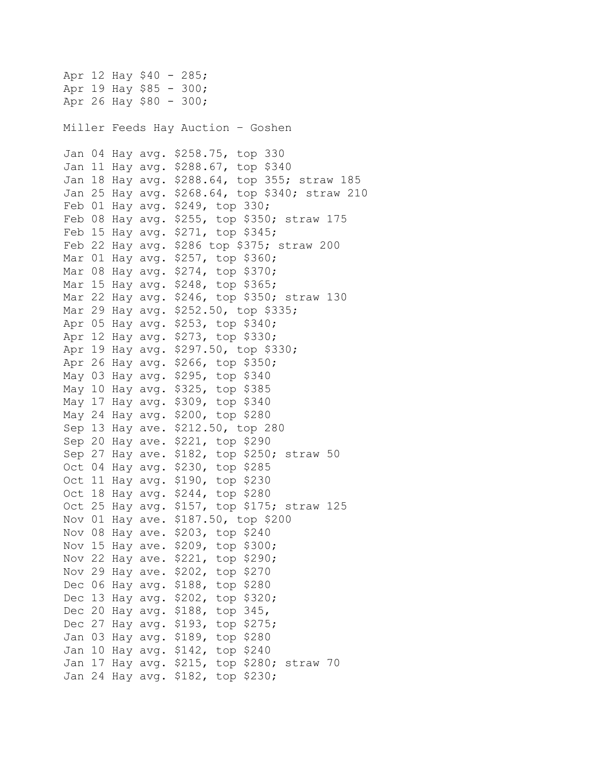Apr 12 Hay \$40 - 285; Apr 19 Hay \$85 - 300; Apr 26 Hay \$80 - 300; Miller Feeds Hay Auction – Goshen Jan 04 Hay avg. \$258.75, top 330 Jan 11 Hay avg. \$288.67, top \$340 Jan 18 Hay avg. \$288.64, top 355; straw 185 Jan 25 Hay avg. \$268.64, top \$340; straw 210 Feb 01 Hay avg. \$249, top 330; Feb 08 Hay avg. \$255, top \$350; straw 175 Feb 15 Hay avg. \$271, top \$345; Feb 22 Hay avg. \$286 top \$375; straw 200 Mar 01 Hay avg. \$257, top \$360; Mar 08 Hay avg. \$274, top \$370; Mar 15 Hay avg. \$248, top \$365; Mar 22 Hay avg. \$246, top \$350; straw 130 Mar 29 Hay avg. \$252.50, top \$335; Apr 05 Hay avg. \$253, top \$340; Apr 12 Hay avg. \$273, top \$330; Apr 19 Hay avg. \$297.50, top \$330; Apr 26 Hay avg. \$266, top \$350; May 03 Hay avg. \$295, top \$340 May 10 Hay avg. \$325, top \$385 May 17 Hay avg. \$309, top \$340 May 24 Hay avg. \$200, top \$280 Sep 13 Hay ave. \$212.50, top 280 Sep 20 Hay ave. \$221, top \$290 Sep 27 Hay ave. \$182, top \$250; straw 50 Oct 04 Hay avg. \$230, top \$285 Oct 11 Hay avg. \$190, top \$230 Oct 18 Hay avg. \$244, top \$280 Oct 25 Hay avg. \$157, top \$175; straw 125 Nov 01 Hay ave. \$187.50, top \$200 Nov 08 Hay ave. \$203, top \$240 Nov 15 Hay ave. \$209, top \$300; Nov 22 Hay ave. \$221, top \$290; Nov 29 Hay ave. \$202, top \$270 Dec 06 Hay avg. \$188, top \$280 Dec 13 Hay avg. \$202, top \$320; Dec 20 Hay avg. \$188, top 345, Dec 27 Hay avg. \$193, top \$275; Jan 03 Hay avg. \$189, top \$280 Jan 10 Hay avg. \$142, top \$240 Jan 17 Hay avg. \$215, top \$280; straw 70 Jan 24 Hay avg. \$182, top \$230;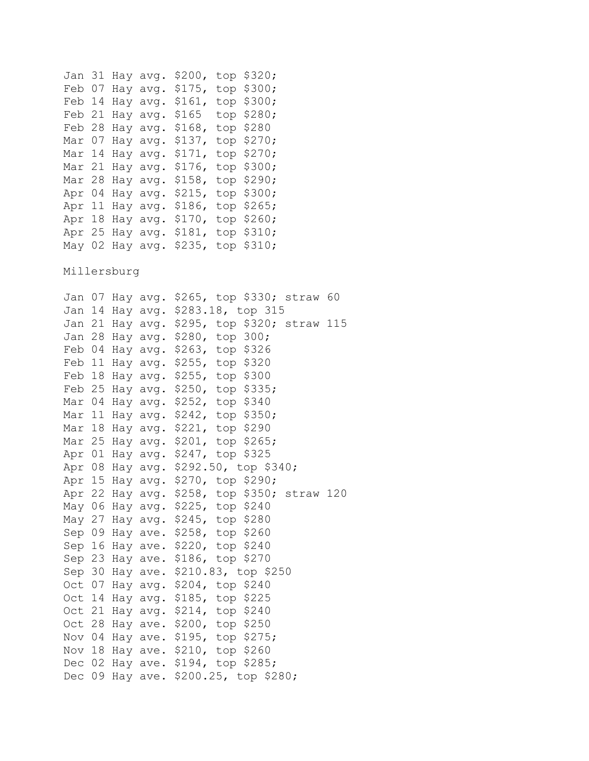Jan 31 Hay avg. \$200, top \$320; Feb 07 Hay avg. \$175, top \$300; Feb 14 Hay avg. \$161, top \$300; Feb 21 Hay avg. \$165 top \$280; Feb 28 Hay avg. \$168, top \$280 Mar 07 Hay avg. \$137, top \$270; Mar 14 Hay avg. \$171, top \$270; Mar 21 Hay avg. \$176, top \$300; Mar 28 Hay avg. \$158, top \$290; Apr 04 Hay avg. \$215, top \$300; Apr 11 Hay avg. \$186, top \$265; Apr 18 Hay avg. \$170, top \$260; Apr 25 Hay avg. \$181, top \$310; May 02 Hay avg. \$235, top \$310;

Millersburg

Jan 07 Hay avg. \$265, top \$330; straw 60 Jan 14 Hay avg. \$283.18, top 315 Jan 21 Hay avg. \$295, top \$320; straw 115 Jan 28 Hay avg. \$280, top 300; Feb 04 Hay avg. \$263, top \$326 Feb 11 Hay avg. \$255, top \$320 Feb 18 Hay avg. \$255, top \$300 Feb 25 Hay avg. \$250, top \$335; Mar 04 Hay avg. \$252, top \$340 Mar 11 Hay avg. \$242, top \$350; Mar 18 Hay avg. \$221, top \$290 Mar 25 Hay avg. \$201, top \$265; Apr 01 Hay avg. \$247, top \$325 Apr 08 Hay avg. \$292.50, top \$340; Apr 15 Hay avg. \$270, top \$290; Apr 22 Hay avg. \$258, top \$350; straw 120 May 06 Hay avg. \$225, top \$240 May 27 Hay avg. \$245, top \$280 Sep 09 Hay ave. \$258, top \$260 Sep 16 Hay ave. \$220, top \$240 Sep 23 Hay ave. \$186, top \$270 Sep 30 Hay ave. \$210.83, top \$250 Oct 07 Hay avg. \$204, top \$240 Oct 14 Hay avg. \$185, top \$225 Oct 21 Hay avg. \$214, top \$240 Oct 28 Hay ave. \$200, top \$250 Nov 04 Hay ave. \$195, top \$275; Nov 18 Hay ave. \$210, top \$260 Dec 02 Hay ave. \$194, top \$285; Dec 09 Hay ave. \$200.25, top \$280;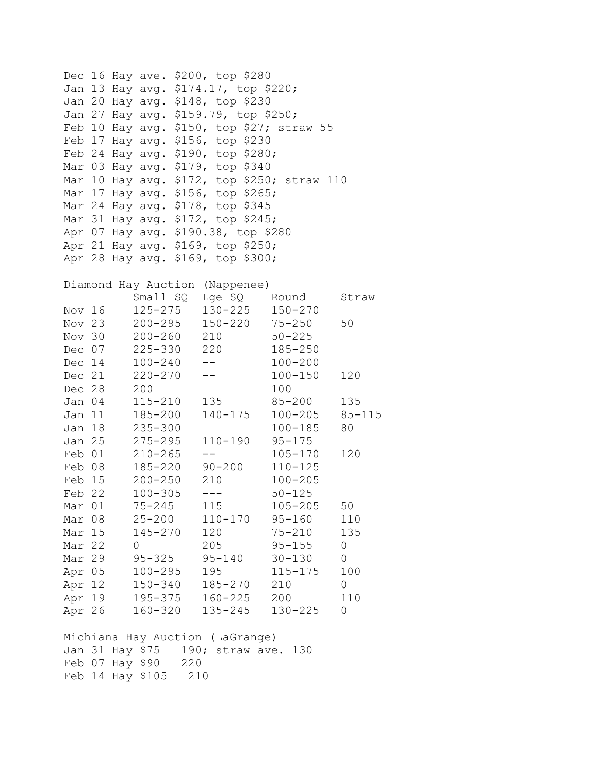Dec 16 Hay ave. \$200, top \$280 Jan 13 Hay avg. \$174.17, top \$220; Jan 20 Hay avg. \$148, top \$230 Jan 27 Hay avg. \$159.79, top \$250; Feb 10 Hay avg. \$150, top \$27; straw 55 Feb 17 Hay avg. \$156, top \$230 Feb 24 Hay avg. \$190, top \$280; Mar 03 Hay avg. \$179, top \$340 Mar 10 Hay avg. \$172, top \$250; straw 110 Mar 17 Hay avg. \$156, top \$265; Mar 24 Hay avg. \$178, top \$345 Mar 31 Hay avg. \$172, top \$245; Apr 07 Hay avg. \$190.38, top \$280 Apr 21 Hay avg. \$169, top \$250; Apr 28 Hay avg. \$169, top \$300;

## Diamond Hay Auction (Nappenee)

|        |        | Small SQ    | Lge SQ                 | Round       | Straw        |
|--------|--------|-------------|------------------------|-------------|--------------|
| Nov 16 |        | 125-275     | 130-225                | $150 - 270$ |              |
| Nov 23 |        |             | 200-295 150-220 75-250 |             | 50           |
| Nov 30 |        | $200 - 260$ | 210                    | $50 - 225$  |              |
| Dec 07 |        | 225-330 220 |                        | $185 - 250$ |              |
| Dec 14 |        | $100 - 240$ | $  \,$                 | $100 - 200$ |              |
| Dec 21 |        | $220 - 270$ | $\perp$ $\perp$        | $100 - 150$ | 120          |
| Dec 28 |        | 200         |                        | 100         |              |
| Jan 04 |        | 115-210     | 135                    | $85 - 200$  | 135          |
| Jan 11 |        | 185-200     | 140-175                | $100 - 205$ | $85 - 115$   |
| Jan 18 |        | $235 - 300$ |                        | $100 - 185$ | 80           |
| Jan 25 |        | 275-295     | 110-190                | $95 - 175$  |              |
| Feb 01 |        | $210 - 265$ | $- -$                  | $105 - 170$ | 120          |
| Feb 08 |        |             | 185-220 90-200         | $110 - 125$ |              |
| Feb 15 |        | $200 - 250$ | 210                    | $100 - 205$ |              |
| Feb 22 |        | $100 - 305$ | $\qquad \qquad - -$    | $50 - 125$  |              |
| Mar 01 |        | 75-245      | 115                    | 105-205     | 50           |
| Mar    | 08     | $25 - 200$  | 110-170                | $95 - 160$  | 110          |
| Mar 15 |        | 145-270     | 120                    | 75-210      | 135          |
| Mar    | 22     | $\Omega$    | 205                    | $95 - 155$  | $\mathbf 0$  |
| Mar 29 |        | $95 - 325$  | $95 - 140$             | $30 - 130$  | $\mathsf{O}$ |
| Apr 05 |        | $100 - 295$ | 195                    | $115 - 175$ | 100          |
| Apr 12 |        | 150-340     | 185-270                | 210         | $\mathbf 0$  |
|        | Apr 19 |             | 195-375 160-225        | 200         | 110          |
| Apr 26 |        |             | 160-320 135-245        | 130-225     | $\mathsf{O}$ |
|        |        |             |                        |             |              |

Michiana Hay Auction (LaGrange) Jan 31 Hay \$75 – 190; straw ave. 130 Feb 07 Hay \$90 – 220 Feb 14 Hay \$105 – 210